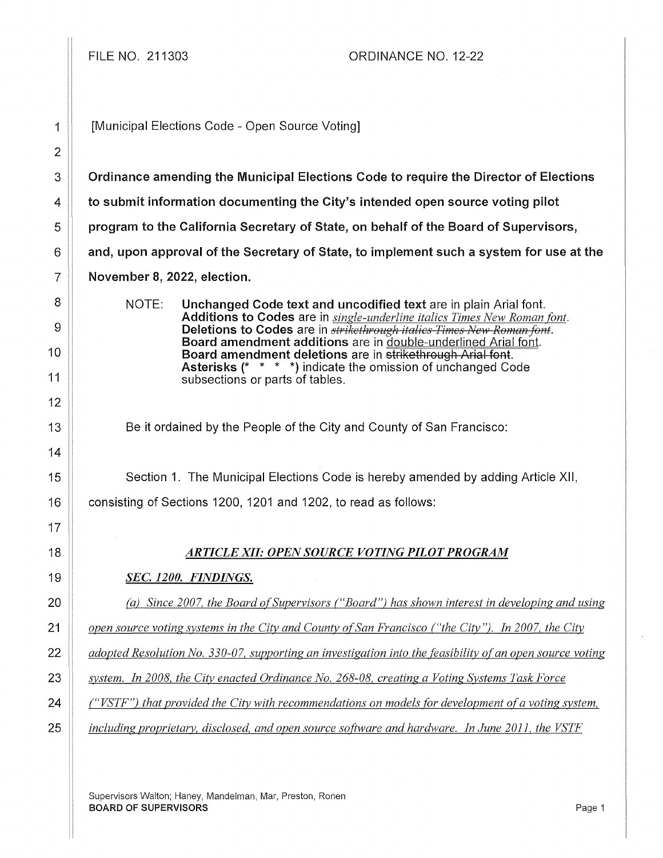FILE NO. 211303 ORDINANCE NO. 12-22

1 | [Municipal Elections Code - Open Source Voting]

3 **Commanding 1** Ordinance amending the Municipal Elections Code to require the Director of Elections

 $4 \parallel$  to submit information documenting the City's intended open source voting pilot

5 **program to the California Secretary of State, on behalf of the Board of Supervisors,** 

 $6 \parallel$  and, upon approval of the Secretary of State, to implement such a system for use at the

7 November 8, 2022, election.

NOTE: Unchanged Code text and uncodified text are in plain Arial font. Additions to Codes are in *single-underline italics Times New Roman font.*  Deletions to Codes are in *strikethrough italics Times New Roman font*. Board amendment additions are in double-underlined Arial font. Board amendment deletions are in strikethrough Arial font. Asterisks (\* \* \* \*) indicate the omission of unchanged Code subsections or parts of tables.

Be it ordained by the People of the City and County of San Francisco:

15 Section 1. The Municipal Elections Code is hereby amended by adding Article XII, 16 **consisting of Sections 1200, 1201 and 1202, to read as follows:** 

### 18 *ARTICLE XII: OPEN SOURCE VOTING PILOT PROGRAM*

### 19 *SEC. 1200. FINDINGS.*

20 *(a) Since 2007, the Board of Supervisors ("Board") has shown interest in developing and using* 

21 *open source voting systems in the City and County of San Francisco ("the City"). In 2007, the City* **2007** 

22 *adopted Resolution No. 330-07, supporting an investigation into the feasibility of an open source voting* 

23 *system. In 2008, the City enacted Ordinance No. 268-08, creating a Voting Systems Task Force* 

24 *("VSTF") that provided the City with recommendations on models for development ofa voting system,* 

25 *including proprietarv, disclosed, and open source software and hardware. In June 2011, the VSTF* 

Supervisors Walton; Haney, Mandelman, Mar, Preston, Ronen BOARD OF SUPERVISORS Page 1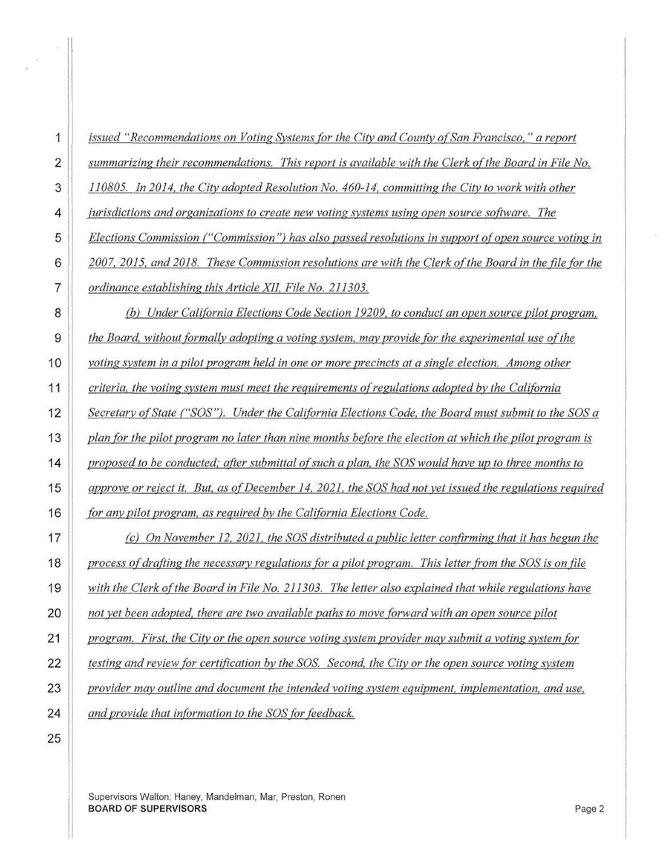Supervisors Walton; Haney, Mandelman, Mar, Preston, Ronen **BOARD OF SUPERVISORS** Page 2

*and provide that information to the SOS (or feedback.*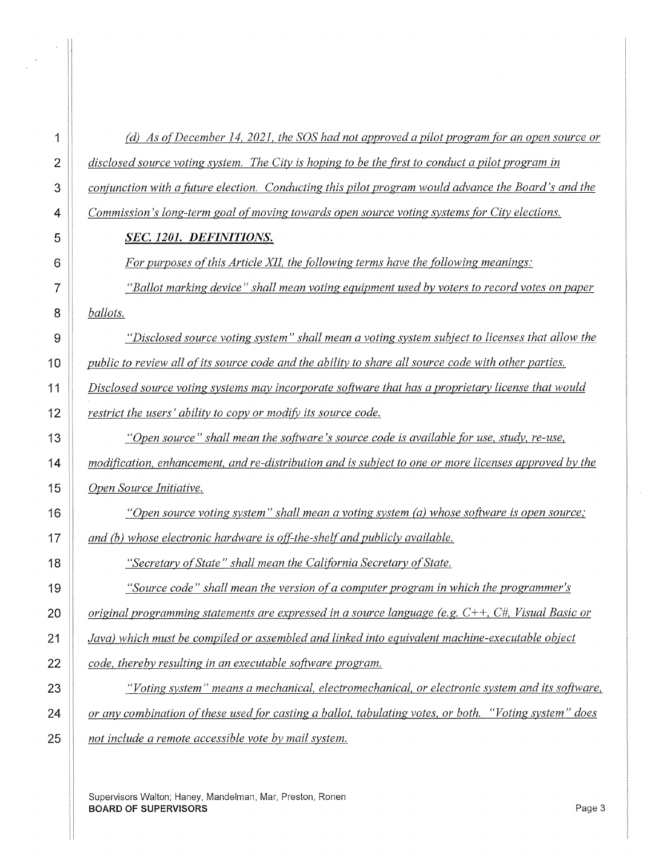| 1              | (d) As of December 14, 2021, the SOS had not approved a pilot program for an open source or             |
|----------------|---------------------------------------------------------------------------------------------------------|
| $\overline{2}$ | disclosed source voting system. The City is hoping to be the first to conduct a pilot program in        |
| 3              | conjunction with a future election. Conducting this pilot program would advance the Board's and the     |
| 4              | Commission's long-term goal of moving towards open source voting systems for City elections.            |
| 5              | SEC. 1201. DEFINITIONS.                                                                                 |
| 6              | For purposes of this Article XII, the following terms have the following meanings:                      |
| 7              | "Ballot marking device" shall mean voting equipment used by voters to record votes on paper             |
| 8              | ballots.                                                                                                |
| 9              | "Disclosed source voting system" shall mean a voting system subject to licenses that allow the          |
| 10             | public to review all of its source code and the ability to share all source code with other parties.    |
| 11             | Disclosed source voting systems may incorporate software that has a proprietary license that would      |
| 12             | restrict the users' ability to copy or modify its source code.                                          |
| 13             | "Open source" shall mean the software's source code is available for use, study, re-use,                |
| 14             | modification, enhancement, and re-distribution and is subject to one or more licenses approved by the   |
| 15             | Open Source Initiative.                                                                                 |
| 16             | "Open source voting system" shall mean a voting system (a) whose software is open source;               |
| 17             | and (b) whose electronic hardware is off-the-shelf and publicly available.                              |
| 18             | "Secretary of State" shall mean the California Secretary of State.                                      |
| 19             | "Source code" shall mean the version of a computer program in which the programmer's                    |
| 20             | original programming statements are expressed in a source language (e.g. $C++$ , $C#$ , Visual Basic or |
| 21             | Java) which must be compiled or assembled and linked into equivalent machine-executable object          |
| 22             | code, thereby resulting in an executable software program.                                              |
| 23             | "Voting system" means a mechanical, electromechanical, or electronic system and its software,           |
| 24             | or any combination of these used for casting a ballot, tabulating votes, or both. "Voting system" does  |
| 25             | not include a remote accessible vote by mail system.                                                    |

Supervisors Walton; Haney, Mandelman, Mar, Preston, Ronen **BOARD OF SUPERVISORS** Page 3

 $\frac{1}{\sigma_{\rm c}} = \frac{1}{\sigma_{\rm c}}$ 

 $\bar{z}$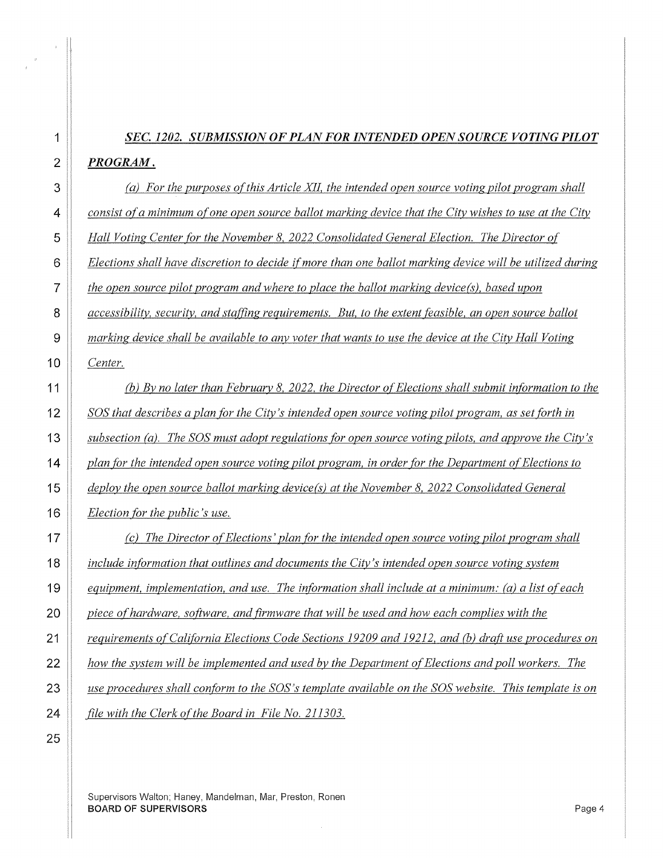# *SEC. 1202. SUBMISSION OF PLAN FOR INTENDED OPEN SOURCE VOTING PILOT PROGRAM.*

**(a)** For the purposes of this Article XII, the intended open source voting pilot program shall *consist ofa minimum of one open source ballot marking device that the City wishes to use at the City Hall Voting Center for the November 8, 2022 Consolidated General Election. The Director of Elections shall have discretion to decide if more than one ballot marking device will be utilized during the open source pilot program and where to place the ballot marking device{s), based upon accessibility, security, and staffing requirements. But, to the extent feasible, an open source ballot marking device shall be available to any voter that wants to use the device at the City Hall Voting Center.* 

(Q) *By no later than February 8, 2022, the Director of Elections shall submit information to the*  SOS *that describes a plan for the City's intended open source voting pilot program, as set forth in subsection (a). The* SOS *must adopt regulations for open source voting pilots, and approve the City's plan for the intended open source voting pilot program, in order for the Department of Elections to deploy the open source ballot marking device(s) at the November 8, 2022 Consolidated General Election for the public's use.* 

*(c) The Director of Elections' plan for the intended open source voting pilot program shall include information that outlines and documents the City's intended open source voting system equipment, implementation, and use. The information shall include at a minimum: (a) a list of each piece of hardware, software, and firmware that will be used and how each complies with the Pequirements of California Elections Code Sections 19209 and 19212, and (b) draft use procedures on how the svstem will be implemented and used by the Department of Elections and poll workers. The use procedures shall conform to the SOS's template available on the* SOS *website. This template is on file with the Clerk of the Board in File No. 211303.* 

Supervisors Walton; Haney, Mandelman, Mar, Preston, Ronen **BOARD OF SUPERVISORS** Page 4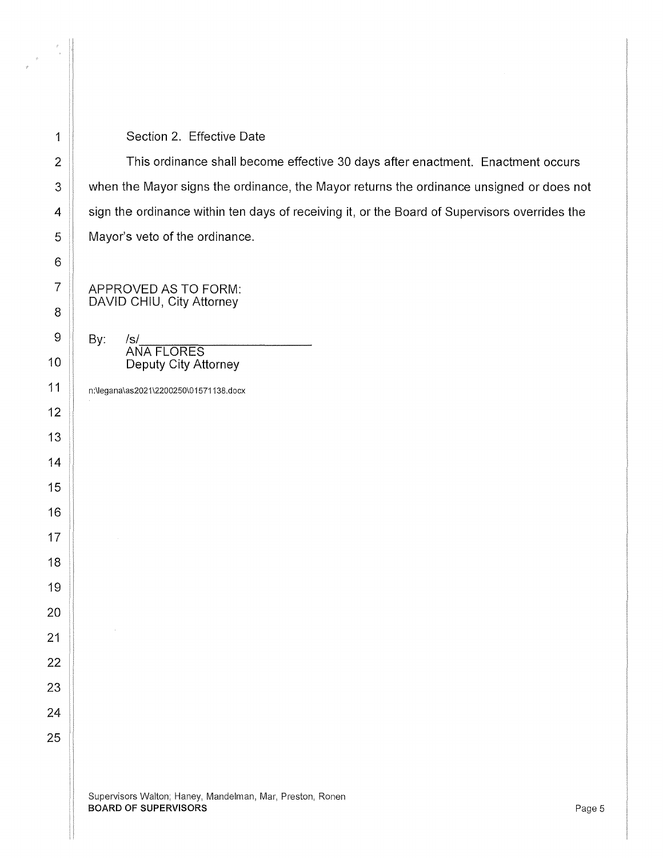#### 1 || Section 2. Effective Date

2 | This ordinance shall become effective 30 days after enactment. Enactment occurs 3 | when the Mayor signs the ordinance, the Mayor returns the ordinance unsigned or does not 4 sign the ordinance within ten days of receiving it, or the Board of Supervisors overrides the 5 | Mayor's veto of the ordinance.

APPROVED AS TO FORM: DAVID CHIU, City Attorney

 $9 \parallel$  By: /s/ ANA FLORES 10 | Deputy City Attorney

n:\legana\as2021\2200250\01571138.docx